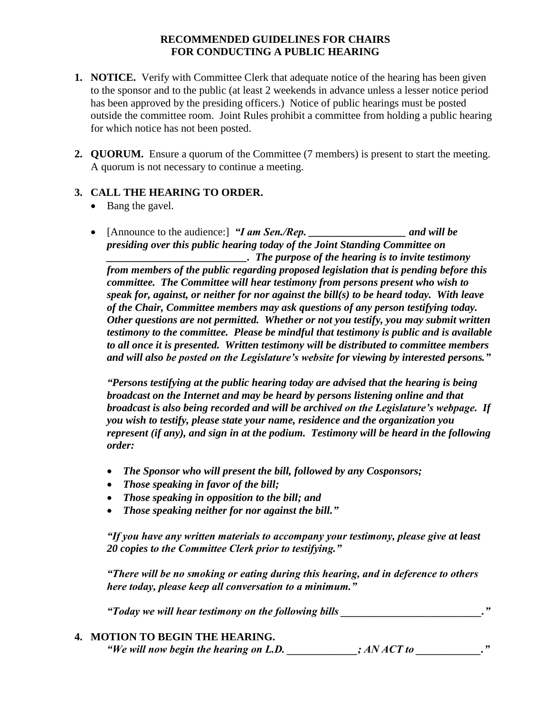## **RECOMMENDED GUIDELINES FOR CHAIRS FOR CONDUCTING A PUBLIC HEARING**

- **1. NOTICE.** Verify with Committee Clerk that adequate notice of the hearing has been given to the sponsor and to the public (at least 2 weekends in advance unless a lesser notice period has been approved by the presiding officers.) Notice of public hearings must be posted outside the committee room. Joint Rules prohibit a committee from holding a public hearing for which notice has not been posted.
- **2. QUORUM.** Ensure a quorum of the Committee (7 members) is present to start the meeting. A quorum is not necessary to continue a meeting.

## **3. CALL THE HEARING TO ORDER.**

- Bang the gavel.
- [Announce to the audience:] *"I am Sen./Rep. \_\_\_\_\_\_\_\_\_\_\_\_\_\_\_\_\_\_ and will be presiding over this public hearing today of the Joint Standing Committee on \_\_\_\_\_\_\_\_\_\_\_\_\_\_\_\_\_\_\_\_\_\_\_\_\_\_. The purpose of the hearing is to invite testimony from members of the public regarding proposed legislation that is pending before this committee. The Committee will hear testimony from persons present who wish to speak for, against, or neither for nor against the bill(s) to be heard today. With leave of the Chair, Committee members may ask questions of any person testifying today. Other questions are not permitted. Whether or not you testify, you may submit written testimony to the committee. Please be mindful that testimony is public and is available to all once it is presented. Written testimony will be distributed to committee members and will also be posted on the Legislature's website for viewing by interested persons."*

*"Persons testifying at the public hearing today are advised that the hearing is being broadcast on the Internet and may be heard by persons listening online and that broadcast is also being recorded and will be archived on the Legislature's webpage. If you wish to testify, please state your name, residence and the organization you represent (if any), and sign in at the podium. Testimony will be heard in the following order:*

- *The Sponsor who will present the bill, followed by any Cosponsors;*
- *Those speaking in favor of the bill;*
- *Those speaking in opposition to the bill; and*
- *Those speaking neither for nor against the bill."*

*"If you have any written materials to accompany your testimony, please give at least 20 copies to the Committee Clerk prior to testifying."*

*"There will be no smoking or eating during this hearing, and in deference to others here today, please keep all conversation to a minimum."*

*"Today we will hear testimony on the following bills \_\_\_\_\_\_\_\_\_\_\_\_\_\_\_\_\_\_\_\_\_\_\_\_\_\_."*

**4. MOTION TO BEGIN THE HEARING.**

*"We will now begin the hearing on L.D. \_\_\_\_\_\_\_\_\_\_\_\_\_; AN ACT to \_\_\_\_\_\_\_\_\_\_\_\_."*